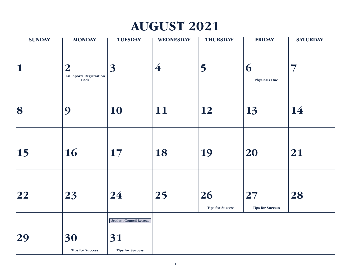| <b>AUGUST 2021</b> |                                                                    |                                                                 |                         |                               |                               |                 |  |  |
|--------------------|--------------------------------------------------------------------|-----------------------------------------------------------------|-------------------------|-------------------------------|-------------------------------|-----------------|--|--|
| <b>SUNDAY</b>      | <b>MONDAY</b>                                                      | <b>TUESDAY</b>                                                  | <b>WEDNESDAY</b>        | <b>THURSDAY</b>               | <b>FRIDAY</b>                 | <b>SATURDAY</b> |  |  |
| $\mathbf 1$        | $\boldsymbol{2}$<br><b>Fall Sports Registration</b><br><b>Ends</b> | $\overline{3}$                                                  | $\overline{\mathbf{4}}$ | 5                             | 6<br><b>Physicals Due</b>     | 7               |  |  |
| 8                  | 9                                                                  | 10                                                              | 11                      | 12                            | 13                            | 14              |  |  |
| $\vert$ 15         | 16                                                                 | 17                                                              | 18                      | 19                            | 20                            | 21              |  |  |
| 22                 | 23                                                                 | 24                                                              | 25                      | 26<br><b>Tips for Success</b> | 27<br><b>Tips for Success</b> | 28              |  |  |
|                    | 30<br><b>Tips for Success</b>                                      | <b>Student Council Retreat</b><br>31<br><b>Tips for Success</b> |                         |                               |                               |                 |  |  |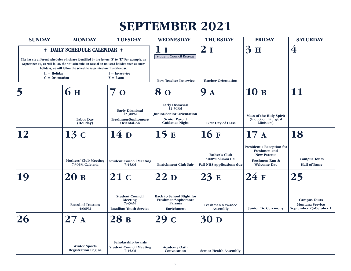| <b>SEPTEMBER 2021</b>                                                                                                                                                                                                                                                                                                                                          |                                                    |                                                                                      |                                                                                                                        |                                                                                |                                                                                                                |                                                                         |  |  |
|----------------------------------------------------------------------------------------------------------------------------------------------------------------------------------------------------------------------------------------------------------------------------------------------------------------------------------------------------------------|----------------------------------------------------|--------------------------------------------------------------------------------------|------------------------------------------------------------------------------------------------------------------------|--------------------------------------------------------------------------------|----------------------------------------------------------------------------------------------------------------|-------------------------------------------------------------------------|--|--|
| <b>SUNDAY</b>                                                                                                                                                                                                                                                                                                                                                  | <b>MONDAY</b>                                      | <b>TUESDAY</b>                                                                       | <b>WEDNESDAY</b>                                                                                                       | <b>THURSDAY</b>                                                                | <b>FRIDAY</b>                                                                                                  | <b>SATURDAY</b>                                                         |  |  |
| <sup>†</sup> DAILY SCHEDULE CALENDAR <sup>†</sup><br>CBA has six different schedules which are identified by the letters "A" to "F." For example, on<br>September 10, we will follow the "B" schedule. In case of an unlisted holiday, such as snow<br>holidays, we will follow the schedule as printed on this calendar.<br>$H =$ Holiday<br>$I = In-service$ |                                                    |                                                                                      | 1<br>$\mathbf I$<br><b>Student Council Retreat</b>                                                                     | 2 1                                                                            | $3^{\circ}$<br>H                                                                                               | 4                                                                       |  |  |
| $0 =$ Orientation                                                                                                                                                                                                                                                                                                                                              |                                                    | $X = Exam$                                                                           | <b>New Teacher Inservice</b>                                                                                           | <b>Teacher Orientation</b>                                                     |                                                                                                                |                                                                         |  |  |
|                                                                                                                                                                                                                                                                                                                                                                | 6 <sub>H</sub>                                     | $\mathbf{O}$                                                                         | 80                                                                                                                     | 9<br>$\mathbf A$                                                               | 10B                                                                                                            | 11                                                                      |  |  |
|                                                                                                                                                                                                                                                                                                                                                                | <b>Labor Day</b><br>(Holiday)                      | <b>Early Dismissal</b><br>12:30PM<br>Freshmen/Sophomore<br><b>Orientation</b>        | <b>Early Dismissal</b><br>12:30PM<br><b>Junior/Senior Orientation</b><br><b>Senior Parent</b><br><b>Guidance Night</b> | <b>First Day of Class</b>                                                      | <b>Mass of the Holy Spirit</b><br>(Induction Liturgical<br>Ministers)                                          |                                                                         |  |  |
| 12                                                                                                                                                                                                                                                                                                                                                             | 13c                                                | 14 <sub>D</sub>                                                                      | 15E                                                                                                                    | 16F                                                                            | 17A                                                                                                            | 18                                                                      |  |  |
|                                                                                                                                                                                                                                                                                                                                                                | <b>Mothers' Club Meeting</b><br>7:30PM Cafeteria   | <b>Student Council Meeting</b><br>7:45AM                                             | <b>Enrichment Club Fair</b>                                                                                            | <b>Father's Club</b><br>7:00PM Alumni Hall<br><b>Fall NHS applications due</b> | <b>President's Reception for</b><br>Freshmen and<br><b>New Parents</b><br>Freshmen Run &<br><b>Welcome Day</b> | <b>Campus Tours</b><br><b>Hall of Fame</b>                              |  |  |
| 19                                                                                                                                                                                                                                                                                                                                                             | 20B                                                | 21c                                                                                  | 22p                                                                                                                    | 23E                                                                            | 24F                                                                                                            | 25                                                                      |  |  |
|                                                                                                                                                                                                                                                                                                                                                                | <b>Board of Trustees</b><br>4:00PM                 | <b>Student Council</b><br><b>Meeting</b><br>7:45AM<br><b>Lasallian Youth Service</b> | <b>Back to School Night for</b><br>Freshmen/Sophomore<br><b>Parents</b><br>Enrichment                                  | <b>Freshmen Naviance</b><br><b>Assembly</b>                                    | <b>Junior Tie Ceremony</b>                                                                                     | <b>Campus Tours</b><br><b>Montana Service</b><br>September 25-October 1 |  |  |
| $\sim$<br><b>26</b>                                                                                                                                                                                                                                                                                                                                            | $\mathbf A$                                        | 28 B                                                                                 | 29                                                                                                                     | <b>30 D</b>                                                                    |                                                                                                                |                                                                         |  |  |
|                                                                                                                                                                                                                                                                                                                                                                | <b>Winter Sports</b><br><b>Registration Begins</b> | <b>Scholarship Awards</b><br><b>Student Council Meeting</b><br>7:45AM                | <b>Academy Oath</b><br>Convocation                                                                                     | <b>Senior Health Assembly</b>                                                  |                                                                                                                |                                                                         |  |  |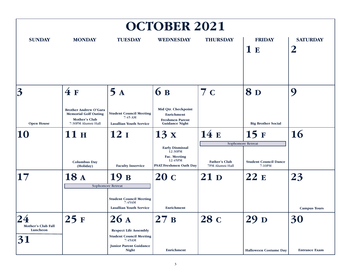| <b>OCTOBER 2021</b>                              |                                                                                                           |                                                                                                 |                                                                                               |                                         |                                                             |                                            |  |  |
|--------------------------------------------------|-----------------------------------------------------------------------------------------------------------|-------------------------------------------------------------------------------------------------|-----------------------------------------------------------------------------------------------|-----------------------------------------|-------------------------------------------------------------|--------------------------------------------|--|--|
| <b>SUNDAY</b>                                    | <b>MONDAY</b>                                                                                             | <b>TUESDAY</b>                                                                                  | <b>WEDNESDAY</b>                                                                              | <b>THURSDAY</b>                         | <b>FRIDAY</b><br>1E                                         | <b>SATURDAY</b><br>$\overline{\mathbf{2}}$ |  |  |
| 3                                                | 4F                                                                                                        | 5A                                                                                              | <b>6</b> B                                                                                    | 7c                                      | <b>8D</b>                                                   | 9                                          |  |  |
| <b>Open House</b>                                | <b>Brother Andrew O'Gara</b><br><b>Memorial Golf Outing</b><br><b>Mother's Club</b><br>7:30PM Alumni Hall | <b>Student Council Meeting</b><br>$7:45 \text{ AM}$<br><b>Lasallian Youth Service</b>           | Mid Qtr. Checkpoint<br><b>Enrichment</b><br><b>Freshmen Parent</b><br><b>Guidance Night</b>   |                                         | <b>Big Brother Social</b>                                   |                                            |  |  |
| 10                                               | 11 H                                                                                                      | 12 <sub>I</sub>                                                                                 | 13x                                                                                           | 14E                                     | 15F                                                         | <b>16</b>                                  |  |  |
|                                                  | <b>Columbus Day</b><br>(Holiday)                                                                          | <b>Faculty Inservice</b>                                                                        | <b>Early Dismissal</b><br>12:30PM<br>Fac. Meeting<br>12:45PM<br><b>PSAT/Freshmen Oath Day</b> | <b>Father's Club</b><br>7PM Alumni Hall | Sophomore Retreat<br><b>Student Council Dance</b><br>7-10PM |                                            |  |  |
| 17                                               | 18 A                                                                                                      | 19 в                                                                                            | 20 с                                                                                          | 21p                                     | 22E                                                         | 23                                         |  |  |
|                                                  |                                                                                                           | Sophomore Retreat<br><b>Student Council Meeting</b><br>7:45AM<br><b>Lasallian Youth Service</b> | Enrichment                                                                                    |                                         |                                                             | <b>Campus Tours</b>                        |  |  |
| $\overline{\bf 24}$<br><b>Mother's Club Fall</b> | 25F                                                                                                       | 26A                                                                                             | 27B                                                                                           | 28 с                                    | 29 D                                                        | 30                                         |  |  |
| Luncheon<br>31                                   |                                                                                                           | <b>Respect Life Assembly</b><br><b>Student Council Meeting</b><br>7:45AM                        |                                                                                               |                                         |                                                             |                                            |  |  |
|                                                  |                                                                                                           | <b>Junior Parent Guidance</b><br><b>Night</b>                                                   | Enrichment                                                                                    |                                         | <b>Halloween Costume Day</b>                                | <b>Entrance Exam</b>                       |  |  |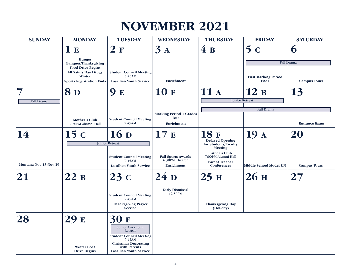|                       |                                                                                                       |                                                                                                                                                                     | <b>NOVEMBER 2021</b>                                             |                                                                                    |                                            |                      |
|-----------------------|-------------------------------------------------------------------------------------------------------|---------------------------------------------------------------------------------------------------------------------------------------------------------------------|------------------------------------------------------------------|------------------------------------------------------------------------------------|--------------------------------------------|----------------------|
| <b>SUNDAY</b>         | <b>MONDAY</b>                                                                                         | <b>TUESDAY</b>                                                                                                                                                      | <b>WEDNESDAY</b>                                                 | <b>THURSDAY</b>                                                                    | <b>FRIDAY</b>                              | <b>SATURDAY</b>      |
|                       | 1E                                                                                                    | 2F                                                                                                                                                                  | $\overline{3}$<br>$\mathbf{A}$                                   | 4B                                                                                 | 5c                                         | $\mathbf 6$          |
|                       | <b>Hunger</b><br><b>Banquet/Thanksgiving</b>                                                          |                                                                                                                                                                     |                                                                  |                                                                                    |                                            | Fall Drama           |
|                       | <b>Food Drive Begins</b><br><b>All Saints Day Litugy</b><br>Winter<br><b>Sports Registration Ends</b> | <b>Student Council Meeting</b><br>7:45AM<br><b>Lasallian Youth Service</b>                                                                                          | Enrichment                                                       |                                                                                    | <b>First Marking Period</b><br><b>Ends</b> | <b>Campus Tours</b>  |
|                       | <b>8</b> D                                                                                            | 9<br>${\bf E}$                                                                                                                                                      | <b>10F</b>                                                       | 11A                                                                                | 12B                                        | 13                   |
| <b>Fall Drama</b>     |                                                                                                       |                                                                                                                                                                     |                                                                  |                                                                                    | <b>Junior Retreat</b>                      |                      |
|                       |                                                                                                       |                                                                                                                                                                     |                                                                  |                                                                                    | Fall Drama                                 |                      |
|                       | Mother's Club<br>7:30PM Alumni Hall                                                                   | <b>Student Council Meeting</b><br>7:45AM                                                                                                                            | <b>Marking Period 1 Grades</b><br>Due<br><b>Enrichment</b>       |                                                                                    |                                            | <b>Entrance Exam</b> |
| 14                    | 15c                                                                                                   | 16 <sub>D</sub><br><b>Junior Retreat</b>                                                                                                                            | 17E                                                              | <b>18F</b><br><b>Delayed Opening</b><br>for Students/Faculty<br><b>Meeting</b>     | 19 <sub>A</sub>                            | 20                   |
| Montana Nov 13-Nov 19 |                                                                                                       | <b>Student Council Meeting</b><br>7:45AM<br><b>Lasallian Youth Service</b>                                                                                          | <b>Fall Sports Awards</b><br>6:30PM Theater<br><b>Enrichment</b> | <b>Father's Club</b><br>7:00PM Alumni Hall<br><b>Parent Teacher</b><br>Conferences | <b>Middle School Model UN</b>              | <b>Campus Tours</b>  |
| 21                    | 22B                                                                                                   | 23c                                                                                                                                                                 | 24p                                                              | 25H                                                                                | 26 <sub>H</sub>                            | 27                   |
|                       |                                                                                                       | <b>Student Council Meeting</b><br>7:45AM<br><b>Thanksgiving Prayer</b><br><b>Service</b>                                                                            | <b>Early Dismissal</b><br>12:30PM                                | <b>Thanksgiving Day</b><br>(Holiday)                                               |                                            |                      |
|                       | 29 E<br><b>Winter Coat</b><br><b>Drive Begins</b>                                                     | 30<br>F<br>Senior Overnight<br>Retreat<br><b>Student Council Meeting</b><br>7:45AM<br><b>Christmas Decorating</b><br>with Parents<br><b>Lasallian Youth Service</b> |                                                                  |                                                                                    |                                            |                      |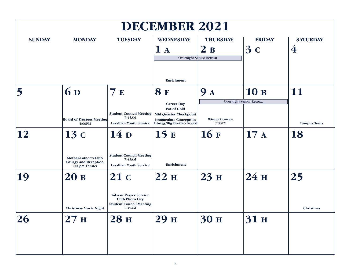| <b>DECEMBER 2021</b> |                                                                        |                                                                            |                                                                                                                                 |                                 |                                 |                                   |  |  |
|----------------------|------------------------------------------------------------------------|----------------------------------------------------------------------------|---------------------------------------------------------------------------------------------------------------------------------|---------------------------------|---------------------------------|-----------------------------------|--|--|
| <b>SUNDAY</b>        | <b>MONDAY</b>                                                          | <b>TUESDAY</b>                                                             | <b>WEDNESDAY</b><br>1A                                                                                                          | <b>THURSDAY</b><br>2B           | <b>FRIDAY</b><br>3c             | <b>SATURDAY</b><br>$\overline{4}$ |  |  |
|                      |                                                                        |                                                                            | <b>Overnight Senior Retreat</b><br>Enrichment                                                                                   |                                 |                                 |                                   |  |  |
|                      | 6 D                                                                    | 7E                                                                         | <b>8F</b>                                                                                                                       | <b>9</b> A                      | 10 в                            | 11                                |  |  |
|                      | <b>Board of Trustees Meeting</b><br>4:00PM                             | <b>Student Council Meeting</b><br>7:45AM<br><b>Lasallian Youth Service</b> | <b>Career Day</b><br>Pot of Gold<br><b>Mid Quarter Checkpoint</b><br><b>Immaculate Conception</b><br>Liturgy/Big Brother Social | <b>Winter Concert</b><br>7:00PM | <b>Overnight Senior Retreat</b> | <b>Campus Tours</b>               |  |  |
| 12                   | 13c                                                                    | 14 <sub>D</sub>                                                            | 15E                                                                                                                             | <b>16 F</b>                     | 17A                             | 18                                |  |  |
|                      | Mother/Father's Club<br><b>Liturgy and Reception</b><br>7:00pm Theater | <b>Student Council Meeting</b><br>7:45AM<br><b>Lasallian Youth Service</b> | Enrichment                                                                                                                      |                                 |                                 |                                   |  |  |
| 19                   | 20B                                                                    | 21c<br><b>Advent Prayer Service</b><br><b>Club Photo Day</b>               | 22H                                                                                                                             | 23H                             | 24H                             | 25                                |  |  |
|                      | <b>Christmas Movie Night</b>                                           | <b>Student Council Meeting</b><br>7:45AM                                   |                                                                                                                                 |                                 |                                 | Christmas                         |  |  |
| 26                   | 27H                                                                    | <b>28 H</b>                                                                | 29 H                                                                                                                            | 30 H                            | 31 <sub>H</sub>                 |                                   |  |  |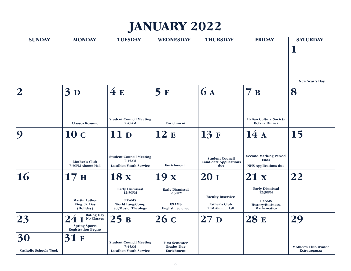| <b>JANUARY 2022</b>                |                                                                                       |                                                                                                    |                                                                              |                                                                     |                                                                                              |                                             |  |  |
|------------------------------------|---------------------------------------------------------------------------------------|----------------------------------------------------------------------------------------------------|------------------------------------------------------------------------------|---------------------------------------------------------------------|----------------------------------------------------------------------------------------------|---------------------------------------------|--|--|
| <b>SUNDAY</b>                      | <b>MONDAY</b>                                                                         | <b>TUESDAY</b>                                                                                     | <b>WEDNESDAY</b>                                                             | <b>THURSDAY</b>                                                     | <b>FRIDAY</b>                                                                                | <b>SATURDAY</b><br>Ш                        |  |  |
| $\overline{\mathbf{2}}$            | 3D                                                                                    | 4E                                                                                                 | 5F                                                                           | <b>6 A</b>                                                          | 7B                                                                                           | New Year's Day<br>8                         |  |  |
|                                    | <b>Classes Resume</b>                                                                 | <b>Student Council Meeting</b><br>7:45AM                                                           | Enrichment                                                                   |                                                                     | <b>Italian Culture Society</b><br><b>Befana Dinner</b>                                       |                                             |  |  |
| $\boldsymbol{Q}$                   | 10 с                                                                                  | 11 <sub>D</sub>                                                                                    | 12E                                                                          | 13F                                                                 | 14A                                                                                          | 15                                          |  |  |
|                                    | Mother's Club<br>7:30PM Alumni Hall                                                   | <b>Student Council Meeting</b><br>7:45AM<br><b>Lasallian Youth Service</b>                         | Enrichment                                                                   | <b>Student Council</b><br><b>Candidate Applications</b><br>due      | <b>Second Marking Period</b><br><b>Ends</b><br><b>NHS Applications due</b>                   |                                             |  |  |
| <b>16</b>                          | 17 <sub>H</sub>                                                                       | 18x                                                                                                | 19x                                                                          | 20 <sub>I</sub>                                                     | 21x                                                                                          | 22                                          |  |  |
|                                    | <b>Martin Luther</b><br>King, Jr. Day<br>(Holiday)                                    | <b>Early Dismissal</b><br>12:30PM<br><b>EXAMS</b><br>World Lang/Comp<br><b>Sci/Music, Theology</b> | <b>Early Dismissal</b><br>12:30PM<br><b>EXAMS</b><br><b>English, Science</b> | <b>Faculty Inservice</b><br><b>Father's Club</b><br>7PM Alumni Hall | <b>Early Dismissal</b><br>12:30PM<br><b>EXAMS</b><br>History/Business,<br><b>Mathematics</b> |                                             |  |  |
| 23                                 | <b>Rating Day</b><br>No Classes<br><b>Spring Sports</b><br><b>Registration Begins</b> | 25B                                                                                                | 26c                                                                          | 27 <sub>D</sub>                                                     | <b>28 E</b>                                                                                  | 29                                          |  |  |
| 30<br><b>Catholic Schools Week</b> | 31<br>F                                                                               | <b>Student Council Meeting</b><br>7:45AM<br><b>Lasallian Youth Service</b>                         | <b>First Semester</b><br><b>Grades Due</b><br>Enrichment                     |                                                                     |                                                                                              | <b>Mother's Club Winter</b><br>Extravaganza |  |  |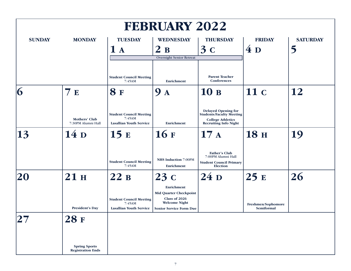| <b>FEBRUARY 2022</b>           |                                                  |                                                                            |                                                                                                                        |                                                                                                                           |                                         |                      |  |  |
|--------------------------------|--------------------------------------------------|----------------------------------------------------------------------------|------------------------------------------------------------------------------------------------------------------------|---------------------------------------------------------------------------------------------------------------------------|-----------------------------------------|----------------------|--|--|
| <b>SUNDAY</b><br><b>MONDAY</b> |                                                  | <b>TUESDAY</b><br>1A                                                       | <b>WEDNESDAY</b><br>2B<br>Overnight Senior Retreat                                                                     | <b>THURSDAY</b><br>3c                                                                                                     | <b>FRIDAY</b><br>4D                     | <b>SATURDAY</b><br>5 |  |  |
|                                |                                                  | <b>Student Council Meeting</b><br>7:45AM                                   | Enrichment                                                                                                             | <b>Parent Teacher</b><br>Conferences                                                                                      |                                         |                      |  |  |
| 6                              | 7E                                               | <b>8F</b>                                                                  | 9<br>$\mathbf{A}$                                                                                                      | 10B                                                                                                                       | 11 с                                    | 12                   |  |  |
|                                | Mothers' Club<br>7:30PM Alumni Hall              | <b>Student Council Meeting</b><br>7:45AM<br><b>Lasallian Youth Service</b> | Enrichment                                                                                                             | <b>Delayed Opening for</b><br><b>Students/Faculty Meeting</b><br><b>College Athletics</b><br><b>Recruiting Info Night</b> |                                         |                      |  |  |
| 13                             | 14 <sub>D</sub>                                  | 15 E                                                                       | <b>16 F</b>                                                                                                            | 17A                                                                                                                       | <b>18 H</b>                             | 19                   |  |  |
|                                |                                                  | <b>Student Council Meeting</b><br>7:45AM                                   | <b>NHS Induction 7:00PM</b><br><b>Enrichment</b>                                                                       | <b>Father's Club</b><br>7:00PM Alumni Hall<br><b>Student Council Primary</b><br><b>Election</b>                           |                                         |                      |  |  |
| 20                             | 21 H                                             | 22B                                                                        | 23c                                                                                                                    | 24p                                                                                                                       | 25E                                     | 26                   |  |  |
|                                | <b>President's Day</b>                           | <b>Student Council Meeting</b><br>7:45AM<br><b>Lasallian Youth Service</b> | Enrichment<br><b>Mid Quarter Checkpoint</b><br>Class of 2026<br><b>Welcome Night</b><br><b>Senior Service Form Due</b> |                                                                                                                           | Freshmen/Sophomore<br><b>Semiformal</b> |                      |  |  |
|                                | <b>28 F</b>                                      |                                                                            |                                                                                                                        |                                                                                                                           |                                         |                      |  |  |
|                                | <b>Spring Sports</b><br><b>Registration Ends</b> |                                                                            |                                                                                                                        |                                                                                                                           |                                         |                      |  |  |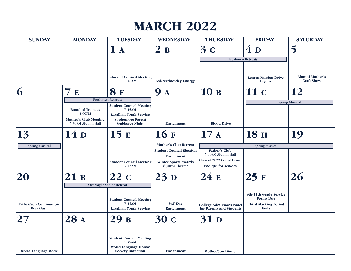| <b>MARCH 2022</b>                               |                                                                                          |                                                                                                                                |                                                                                                                                       |                                                                                                       |                                                                                          |                                                   |  |
|-------------------------------------------------|------------------------------------------------------------------------------------------|--------------------------------------------------------------------------------------------------------------------------------|---------------------------------------------------------------------------------------------------------------------------------------|-------------------------------------------------------------------------------------------------------|------------------------------------------------------------------------------------------|---------------------------------------------------|--|
| <b>SUNDAY</b>                                   | <b>MONDAY</b>                                                                            | <b>TUESDAY</b><br>1A                                                                                                           | <b>WEDNESDAY</b><br>$\mathbf{2}$<br>B                                                                                                 | <b>THURSDAY</b><br>3c<br><b>Freshmen Retreats</b>                                                     | <b>FRIDAY</b><br>4D                                                                      | <b>SATURDAY</b>                                   |  |
| 6                                               | 7<br>${\bf E}$                                                                           | <b>Student Council Meeting</b><br>7:45AM<br><b>8</b> F<br><b>Freshmen Retreats</b>                                             | Ash Wednesday Liturgy<br>9<br>$\mathbf A$                                                                                             | 10B                                                                                                   | <b>Lenten Mission Drive</b><br><b>Begins</b><br>11c                                      | <b>Alumni Mother's</b><br><b>Craft Show</b><br>12 |  |
|                                                 | <b>Board of Trustees</b><br>4:00PM<br><b>Mother's Club Meeting</b><br>7:30PM Alumni Hall | <b>Student Council Meeting</b><br>7:45AM<br><b>Lasallian Youth Service</b><br><b>Sophomore Parent</b><br><b>Guidance Night</b> | <b>Enrichment</b>                                                                                                                     | <b>Blood Drive</b>                                                                                    |                                                                                          | <b>Spring Musical</b>                             |  |
| $\vert 13 \vert$                                | 14 <sub>D</sub>                                                                          | 15E                                                                                                                            | 16F                                                                                                                                   | 17A                                                                                                   | <b>18 н</b>                                                                              | 19                                                |  |
| <b>Spring Musical</b>                           |                                                                                          | <b>Student Council Meeting</b><br>7:45AM                                                                                       | <b>Mother's Club Retreat</b><br><b>Student Council Election</b><br><b>Enrichment</b><br><b>Winter Sports Awards</b><br>6:30PM Theater | <b>Father's Club</b><br>7:00PM Alumni Hall<br><b>Class of 2022 Count Down</b><br>End qtr. for seniors | <b>Spring Musical</b>                                                                    |                                                   |  |
| 20                                              | 21B                                                                                      | 22 с<br>Overnight Senior Retreat                                                                                               | 23p                                                                                                                                   | 24E                                                                                                   | 25F                                                                                      | 26                                                |  |
| <b>Father/Son Communion</b><br><b>Breakfast</b> |                                                                                          | <b>Student Council Meeting</b><br>7:45AM<br><b>Lasallian Youth Service</b>                                                     | <b>SAT Day</b><br><b>Enrichment</b>                                                                                                   | <b>College Admissions Panel</b><br>for Parents and Students                                           | 9th-11th Grade Service<br><b>Forms Due</b><br><b>Third Marking Period</b><br><b>Ends</b> |                                                   |  |
|                                                 | 28 A                                                                                     | 29 B                                                                                                                           | 30 с                                                                                                                                  | <b>31 D</b>                                                                                           |                                                                                          |                                                   |  |
| <b>World Language Week</b>                      |                                                                                          | <b>Student Council Meeting</b><br>7:45AM<br>World Language Honor<br><b>Society Induction</b>                                   | Enrichment                                                                                                                            | <b>Mother/Son Dinner</b>                                                                              |                                                                                          |                                                   |  |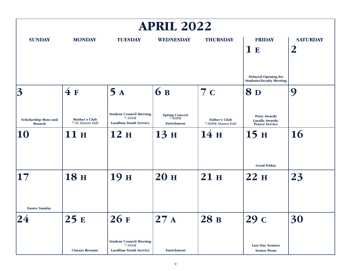| <b>APRIL 2022</b>                            |                                   |                                                                            |                                                      |                                            |                                                                |                                     |  |  |
|----------------------------------------------|-----------------------------------|----------------------------------------------------------------------------|------------------------------------------------------|--------------------------------------------|----------------------------------------------------------------|-------------------------------------|--|--|
| <b>SUNDAY</b>                                | <b>MONDAY</b>                     | <b>TUESDAY</b>                                                             | <b>WEDNESDAY</b>                                     | <b>THURSDAY</b>                            | <b>FRIDAY</b><br>1E                                            | <b>SATURDAY</b><br>$\boldsymbol{2}$ |  |  |
|                                              |                                   |                                                                            |                                                      |                                            | <b>Delayed Opening for</b><br><b>Students/Faculty Meeting</b>  |                                     |  |  |
| $\overline{3}$                               | 4F                                | 5A                                                                         | <b>6</b> B                                           | 7c                                         | <b>8D</b>                                                      | 9                                   |  |  |
| <b>Scholarship Mass and</b><br><b>Brunch</b> | Mother's Club<br>7:30 Alumni Hall | <b>Student Council Meeting</b><br>7:45AM<br><b>Lasallian Youth Service</b> | <b>Spring Concert</b><br>7:00PM<br><b>Enrichment</b> | <b>Father's Club</b><br>7:00PM Alumni Hall | <b>Pony Awards</b><br>Lasalle Awards/<br><b>Prayer Service</b> |                                     |  |  |
| 10                                           | 11 H                              | 12 H                                                                       | 13 H                                                 | 14H                                        | 15H                                                            | 16                                  |  |  |
|                                              |                                   |                                                                            |                                                      |                                            | <b>Good Friday</b>                                             |                                     |  |  |
| 17                                           | <b>18 H</b>                       | 19н                                                                        | <b>20 H</b>                                          | 21 H                                       | 22H                                                            | 23                                  |  |  |
| <b>Easter Sunday</b>                         |                                   |                                                                            |                                                      |                                            |                                                                |                                     |  |  |
|                                              | 25E                               | 26 F                                                                       | 27A                                                  | 28 B                                       | 29 с                                                           | 30                                  |  |  |
|                                              | <b>Classes Resume</b>             | <b>Student Council Meeting</b><br>7:45AM<br><b>Lasallian Youth Service</b> | <b>Enrichment</b>                                    |                                            | <b>Last Day Seniors</b><br><b>Senior Prom</b>                  |                                     |  |  |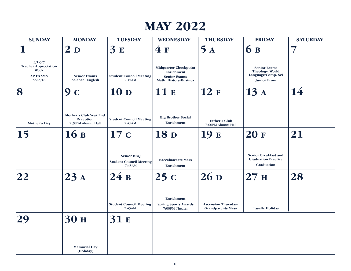| <b>MAY 2022</b>                                                                       |                                                                  |                                                               |                                                                                                    |                                                        |                                                                                    |                 |  |  |
|---------------------------------------------------------------------------------------|------------------------------------------------------------------|---------------------------------------------------------------|----------------------------------------------------------------------------------------------------|--------------------------------------------------------|------------------------------------------------------------------------------------|-----------------|--|--|
| <b>SUNDAY</b>                                                                         | <b>MONDAY</b>                                                    | <b>TUESDAY</b>                                                | <b>WEDNESDAY</b>                                                                                   | <b>THURSDAY</b>                                        | <b>FRIDAY</b>                                                                      | <b>SATURDAY</b> |  |  |
|                                                                                       | 2 <sub>D</sub>                                                   | 3E                                                            | 4F                                                                                                 | 5<br>$\mathbf{A}$                                      | 6 B                                                                                |                 |  |  |
| $5/1 - 5/7$<br><b>Teacher Appreciation</b><br>Week<br><b>AP EXAMS</b><br>$5/2 - 5/16$ | <b>Senior Exams</b><br><b>Science</b> ; English                  | <b>Student Council Meeting</b><br>7:45AM                      | <b>Midquarter Checkpoint</b><br>Enrichment<br><b>Senior Exams</b><br><b>Math</b> ; History/Busines |                                                        | <b>Senior Exams</b><br>Theology, World<br>Language/Comp. Sci<br><b>Junior Prom</b> |                 |  |  |
| 8                                                                                     | 9<br>$\mathbf C$                                                 | 10 <sub>D</sub>                                               | 11 E                                                                                               | 12 F                                                   | 13A                                                                                | 14              |  |  |
| <b>Mother's Day</b>                                                                   | Mother's Club Year End<br><b>Reception</b><br>7:30PM Alumni Hall | <b>Student Council Meeting</b><br>7:45AM                      | <b>Big Brother Social</b><br>Enrichment                                                            | <b>Father's Club</b><br>7:00PM Alumni Hall             |                                                                                    |                 |  |  |
| 15                                                                                    | 16B                                                              | 17c                                                           | <b>18</b> D                                                                                        | 19 E                                                   | <b>20F</b>                                                                         | 21              |  |  |
|                                                                                       |                                                                  | <b>Senior BBQ</b><br><b>Student Council Meeting</b><br>7:45AM | <b>Baccaluareate Mass</b><br>Enrichment                                                            |                                                        | <b>Senior Breakfast and</b><br><b>Graduation Practice</b><br>Graduation            |                 |  |  |
| 22                                                                                    | 23A                                                              | 24B                                                           | 25c                                                                                                | 26 <sub>D</sub>                                        | 27 <sub>H</sub>                                                                    | 28              |  |  |
|                                                                                       |                                                                  | <b>Student Council Meeting</b><br>7:45AM                      | Enrichment<br><b>Spring Sports Awards</b><br>7:00PM Theater                                        | <b>Ascension Thursday/</b><br><b>Grandparents Mass</b> | <b>Lasalle Holiday</b>                                                             |                 |  |  |
|                                                                                       | 30 <sub>H</sub>                                                  | 31 E                                                          |                                                                                                    |                                                        |                                                                                    |                 |  |  |
|                                                                                       | <b>Memorial Day</b><br>(Holiday)                                 |                                                               |                                                                                                    |                                                        |                                                                                    |                 |  |  |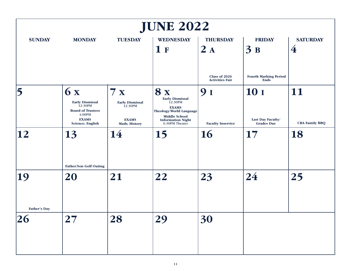| <b>JUNE 2022</b>          |                                                                                                                   |                                                                                 |                                                                                                                                                                 |                                         |                                                       |                                   |  |  |
|---------------------------|-------------------------------------------------------------------------------------------------------------------|---------------------------------------------------------------------------------|-----------------------------------------------------------------------------------------------------------------------------------------------------------------|-----------------------------------------|-------------------------------------------------------|-----------------------------------|--|--|
| <b>SUNDAY</b>             | <b>MONDAY</b>                                                                                                     | <b>TUESDAY</b>                                                                  | <b>WEDNESDAY</b><br>1 <sub>F</sub>                                                                                                                              | <b>THURSDAY</b><br>2A                   | <b>FRIDAY</b><br>3B                                   | <b>SATURDAY</b><br>$\overline{4}$ |  |  |
|                           |                                                                                                                   |                                                                                 |                                                                                                                                                                 | Class of 2026<br><b>Activities Fair</b> | <b>Fourth Marking Period</b><br>Ends                  |                                   |  |  |
| 5                         | 6x<br><b>Early Dismissal</b><br>12:30PM<br><b>Board of Trustees</b><br>4:00PM<br><b>EXAMS</b><br>Science; English | 7x<br><b>Early Dismissal</b><br>12:30PM<br><b>EXAMS</b><br><b>Math; History</b> | <b>8x</b><br><b>Early Dismissal</b><br>12:30PM<br><b>EXAMS</b><br>Theology/World Language<br><b>Middle School</b><br><b>Information Night</b><br>6:30PM Theater | 91<br><b>Faculty Inservice</b>          | <b>10</b> I<br>Last Day Faculty/<br><b>Grades Due</b> | 11<br><b>CBA Family BBQ</b>       |  |  |
| 12                        | 13<br><b>Father/Son Golf Outing</b>                                                                               | 14                                                                              | 15                                                                                                                                                              | <b>16</b>                               | 17                                                    | 18                                |  |  |
| 19<br><b>Father's Day</b> | 20                                                                                                                | 21                                                                              | 22                                                                                                                                                              | 23                                      | 24                                                    | 25                                |  |  |
| 26                        | 27                                                                                                                | 28                                                                              | 29                                                                                                                                                              | 30                                      |                                                       |                                   |  |  |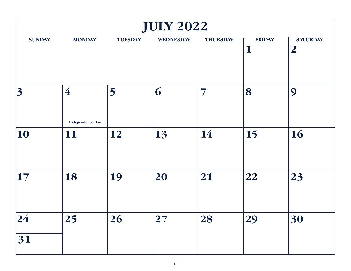| <b>JULY 2022</b> |                               |                |                  |                 |                              |                                   |  |  |
|------------------|-------------------------------|----------------|------------------|-----------------|------------------------------|-----------------------------------|--|--|
| <b>SUNDAY</b>    | <b>MONDAY</b>                 | <b>TUESDAY</b> | <b>WEDNESDAY</b> | <b>THURSDAY</b> | <b>FRIDAY</b><br>$\mathbf 1$ | <b>SATURDAY</b><br>$\overline{2}$ |  |  |
| 3                | $\overline{4}$                | 5              | 6                | 7               | 8                            | 9                                 |  |  |
| 10               | <b>Independence Day</b><br>11 | 12             | 13               | 14              | 15                           | 16                                |  |  |
| $\vert$ 17       | 18                            | 19             | 20               | 21              | 22                           | 23                                |  |  |
| 24 <br>31        | 25                            | 26             | 27               | 28              | 29                           | 30                                |  |  |